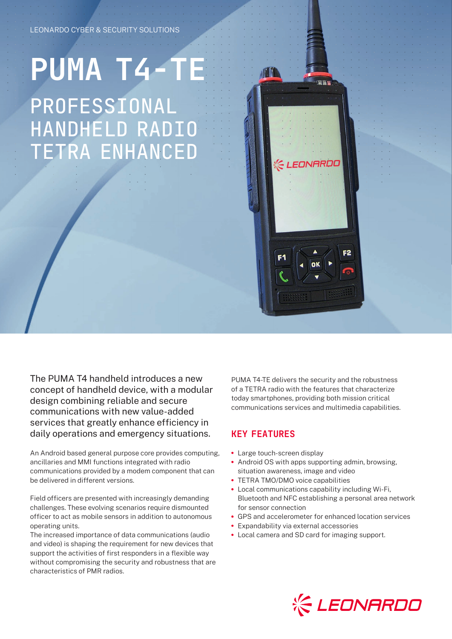## **PUMA T4-TE** PROFESSIONAL HANDHELD RADIO TETRA ENHANCED



The PUMA T4 handheld introduces a new concept of handheld device, with a modular design combining reliable and secure communications with new value-added services that greatly enhance efficiency in daily operations and emergency situations.

An Android based general purpose core provides computing, ancillaries and MMI functions integrated with radio communications provided by a modem component that can be delivered in different versions.

Field officers are presented with increasingly demanding challenges. These evolving scenarios require dismounted officer to act as mobile sensors in addition to autonomous operating units.

The increased importance of data communications (audio and video) is shaping the requirement for new devices that support the activities of first responders in a flexible way without compromising the security and robustness that are characteristics of PMR radios.

PUMA T4-TE delivers the security and the robustness of a TETRA radio with the features that characterize today smartphones, providing both mission critical communications services and multimedia capabilities.

## KEY FEATURES

- **•** Large touch-screen display
- **•** Android OS with apps supporting admin, browsing, situation awareness, image and video
- **•** TETRA TMO/DMO voice capabilities
- **•** Local communications capability including Wi-Fi, Bluetooth and NFC establishing a personal area network for sensor connection
- **•** GPS and accelerometer for enhanced location services
- **•** Expandability via external accessories
- **•** Local camera and SD card for imaging support.